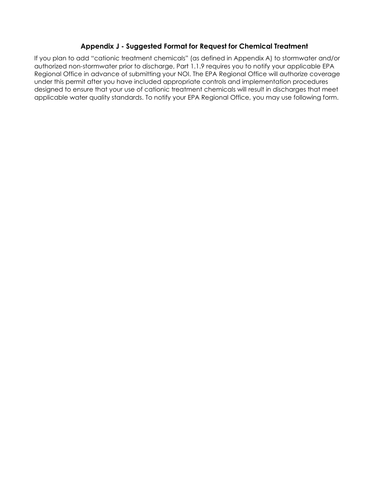# **Appendix J - Suggested Format for Request for Chemical Treatment**

If you plan to add "cationic treatment chemicals" (as defined in Appendix A) to stormwater and/or authorized non-stormwater prior to discharge, Part 1.1.9 requires you to notify your applicable EPA Regional Office in advance of submitting your NOI. The EPA Regional Office will authorize coverage under this permit after you have included appropriate controls and implementation procedures designed to ensure that your use of cationic treatment chemicals will result in discharges that meet applicable water quality standards. To notify your EPA Regional Office, you may use following form.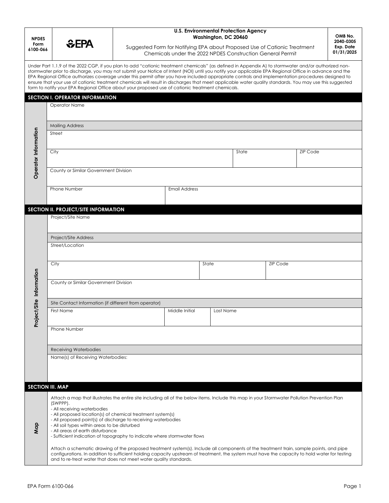| <b>NPDES</b><br>Form<br>6100-066 |                                                                                                                                                                                                                                                                                                                                                                                                                                                                                                                                                                                                                                                                                                                                 | <b>U.S. Environmental Protection Agency</b><br>Washington, DC 20460                                                                     |                      |           |       |                 |                         | OMB No.<br>2040-0305 |
|----------------------------------|---------------------------------------------------------------------------------------------------------------------------------------------------------------------------------------------------------------------------------------------------------------------------------------------------------------------------------------------------------------------------------------------------------------------------------------------------------------------------------------------------------------------------------------------------------------------------------------------------------------------------------------------------------------------------------------------------------------------------------|-----------------------------------------------------------------------------------------------------------------------------------------|----------------------|-----------|-------|-----------------|-------------------------|----------------------|
|                                  | <b>SEPA</b>                                                                                                                                                                                                                                                                                                                                                                                                                                                                                                                                                                                                                                                                                                                     | Suggested Form for Notifying EPA about Proposed Use of Cationic Treatment<br>Chemicals under the 2022 NPDES Construction General Permit |                      |           |       |                 | Exp. Date<br>01/31/2025 |                      |
|                                  | Under Part 1.1.9 of the 2022 CGP, if you plan to add "cationic treatment chemicals" (as defined in Appendix A) to stormwater and/or authorized non-<br>stormwater prior to discharge, you may not submit your Notice of Intent (NOI) until you notify your applicable EPA Regional Office in advance and the<br>EPA Regional Office authorizes coverage under this permit after you have included appropriate controls and implementation procedures designed to<br>ensure that your use of cationic treatment chemicals will result in discharges that meet applicable water quality standards. You may use this suggested<br>form to notify your EPA Regional Office about your proposed use of cationic treatment chemicals. |                                                                                                                                         |                      |           |       |                 |                         |                      |
|                                  | SECTION I. OPERATOR INFORMATION                                                                                                                                                                                                                                                                                                                                                                                                                                                                                                                                                                                                                                                                                                 |                                                                                                                                         |                      |           |       |                 |                         |                      |
|                                  | Operator Name                                                                                                                                                                                                                                                                                                                                                                                                                                                                                                                                                                                                                                                                                                                   |                                                                                                                                         |                      |           |       |                 |                         |                      |
|                                  | <b>Mailing Address</b>                                                                                                                                                                                                                                                                                                                                                                                                                                                                                                                                                                                                                                                                                                          |                                                                                                                                         |                      |           |       |                 |                         |                      |
|                                  | Street                                                                                                                                                                                                                                                                                                                                                                                                                                                                                                                                                                                                                                                                                                                          |                                                                                                                                         |                      |           |       |                 |                         |                      |
| Operator Information             | City                                                                                                                                                                                                                                                                                                                                                                                                                                                                                                                                                                                                                                                                                                                            |                                                                                                                                         |                      |           | State |                 | <b>ZIP Code</b>         |                      |
|                                  | County or Similar Government Division                                                                                                                                                                                                                                                                                                                                                                                                                                                                                                                                                                                                                                                                                           |                                                                                                                                         |                      |           |       |                 |                         |                      |
|                                  | Phone Number                                                                                                                                                                                                                                                                                                                                                                                                                                                                                                                                                                                                                                                                                                                    |                                                                                                                                         | <b>Email Address</b> |           |       |                 |                         |                      |
|                                  | SECTION II. PROJECT/SITE INFORMATION                                                                                                                                                                                                                                                                                                                                                                                                                                                                                                                                                                                                                                                                                            |                                                                                                                                         |                      |           |       |                 |                         |                      |
|                                  | Project/Site Name                                                                                                                                                                                                                                                                                                                                                                                                                                                                                                                                                                                                                                                                                                               |                                                                                                                                         |                      |           |       |                 |                         |                      |
|                                  | Project/Site Address                                                                                                                                                                                                                                                                                                                                                                                                                                                                                                                                                                                                                                                                                                            |                                                                                                                                         |                      |           |       |                 |                         |                      |
|                                  | Street/Location                                                                                                                                                                                                                                                                                                                                                                                                                                                                                                                                                                                                                                                                                                                 |                                                                                                                                         |                      |           |       |                 |                         |                      |
|                                  | City                                                                                                                                                                                                                                                                                                                                                                                                                                                                                                                                                                                                                                                                                                                            |                                                                                                                                         |                      | State     |       | <b>ZIP Code</b> |                         |                      |
| t/Site Information               | County or Similar Government Division                                                                                                                                                                                                                                                                                                                                                                                                                                                                                                                                                                                                                                                                                           |                                                                                                                                         |                      |           |       |                 |                         |                      |
|                                  | Site Contact Information (if different from operator)                                                                                                                                                                                                                                                                                                                                                                                                                                                                                                                                                                                                                                                                           |                                                                                                                                         |                      |           |       |                 |                         |                      |
| Project                          | <b>First Name</b>                                                                                                                                                                                                                                                                                                                                                                                                                                                                                                                                                                                                                                                                                                               |                                                                                                                                         | Middle Initial       | Last Name |       |                 |                         |                      |
|                                  | Phone Number                                                                                                                                                                                                                                                                                                                                                                                                                                                                                                                                                                                                                                                                                                                    |                                                                                                                                         |                      |           |       |                 |                         |                      |
|                                  | <b>Receiving Waterbodies</b>                                                                                                                                                                                                                                                                                                                                                                                                                                                                                                                                                                                                                                                                                                    |                                                                                                                                         |                      |           |       |                 |                         |                      |
|                                  | Name(s) of Receiving Waterbodies:                                                                                                                                                                                                                                                                                                                                                                                                                                                                                                                                                                                                                                                                                               |                                                                                                                                         |                      |           |       |                 |                         |                      |
|                                  |                                                                                                                                                                                                                                                                                                                                                                                                                                                                                                                                                                                                                                                                                                                                 |                                                                                                                                         |                      |           |       |                 |                         |                      |
| <b>SECTION III. MAP</b>          |                                                                                                                                                                                                                                                                                                                                                                                                                                                                                                                                                                                                                                                                                                                                 |                                                                                                                                         |                      |           |       |                 |                         |                      |
| Map                              | Attach a map that illustrates the entire site including all of the below items. Include this map in your Stormwater Pollution Prevention Plan<br>(SWPPP).<br>- All receiving waterbodies<br>- All proposed location(s) of chemical treatment system(s)<br>- All proposed point(s) of discharge to receiving waterbodies<br>- All soil types within areas to be disturbed<br>- All areas of earth disturbance<br>- Sufficient indication of topography to indicate where stormwater flows                                                                                                                                                                                                                                        |                                                                                                                                         |                      |           |       |                 |                         |                      |
|                                  | Attach a schematic drawing of the proposed treatment system(s). Include all components of the treatment train, sample points, and pipe<br>configurations. In addition to sufficient holding capacity upstream of treatment, the system must have the capacity to hold water for testing<br>and to re-treat water that does not meet water quality standards.                                                                                                                                                                                                                                                                                                                                                                    |                                                                                                                                         |                      |           |       |                 |                         |                      |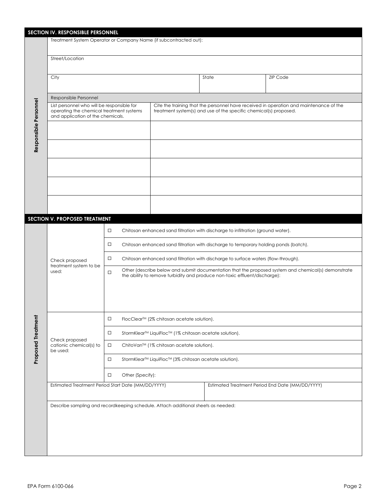| SECTION IV. RESPONSIBLE PERSONNEL |                                                                                   |                                                                                                                                                                                                                                                                                              |                                                                                        |                                                                            |                                                                                                     |  |  |  |
|-----------------------------------|-----------------------------------------------------------------------------------|----------------------------------------------------------------------------------------------------------------------------------------------------------------------------------------------------------------------------------------------------------------------------------------------|----------------------------------------------------------------------------------------|----------------------------------------------------------------------------|-----------------------------------------------------------------------------------------------------|--|--|--|
|                                   | Treatment System Operator or Company Name (if subcontracted out):                 |                                                                                                                                                                                                                                                                                              |                                                                                        |                                                                            |                                                                                                     |  |  |  |
|                                   | Street/Location                                                                   |                                                                                                                                                                                                                                                                                              |                                                                                        |                                                                            |                                                                                                     |  |  |  |
|                                   | City                                                                              |                                                                                                                                                                                                                                                                                              |                                                                                        | State                                                                      | <b>ZIP Code</b>                                                                                     |  |  |  |
|                                   | Responsible Personnel                                                             |                                                                                                                                                                                                                                                                                              |                                                                                        |                                                                            |                                                                                                     |  |  |  |
|                                   | List personnel who will be responsible for                                        |                                                                                                                                                                                                                                                                                              | Cite the training that the personnel have received in operation and maintenance of the |                                                                            |                                                                                                     |  |  |  |
| Responsible Personnel             | operating the chemical treatment systems<br>and application of the chemicals.     |                                                                                                                                                                                                                                                                                              | treatment system(s) and use of the specific chemical(s) proposed.                      |                                                                            |                                                                                                     |  |  |  |
|                                   |                                                                                   |                                                                                                                                                                                                                                                                                              |                                                                                        |                                                                            |                                                                                                     |  |  |  |
|                                   |                                                                                   |                                                                                                                                                                                                                                                                                              |                                                                                        |                                                                            |                                                                                                     |  |  |  |
|                                   |                                                                                   |                                                                                                                                                                                                                                                                                              |                                                                                        |                                                                            |                                                                                                     |  |  |  |
|                                   |                                                                                   |                                                                                                                                                                                                                                                                                              |                                                                                        |                                                                            |                                                                                                     |  |  |  |
|                                   |                                                                                   |                                                                                                                                                                                                                                                                                              |                                                                                        |                                                                            |                                                                                                     |  |  |  |
|                                   | SECTION V. PROPOSED TREATMENT                                                     |                                                                                                                                                                                                                                                                                              |                                                                                        |                                                                            |                                                                                                     |  |  |  |
|                                   | Check proposed<br>treatment system to be<br>used:                                 | Chitosan enhanced sand filtration with discharge to infiltration (ground water).<br>$\Box$<br>Chitosan enhanced sand filtration with discharge to temporary holding ponds (batch).<br>$\Box$<br>Chitosan enhanced sand filtration with discharge to surface waters (flow-through).<br>$\Box$ |                                                                                        |                                                                            |                                                                                                     |  |  |  |
|                                   |                                                                                   | $\Box$                                                                                                                                                                                                                                                                                       |                                                                                        | the ability to remove turbidity and produce non-toxic effluent/discharge): | Other (describe below and submit documentation that the proposed system and chemical(s) demonstrate |  |  |  |
|                                   |                                                                                   | $\Box$<br>FlocClear™ (2% chitosan acetate solution).                                                                                                                                                                                                                                         |                                                                                        |                                                                            |                                                                                                     |  |  |  |
| <b>Proposed Treatment</b>         | Check proposed<br>cationic chemical(s) to<br>be used:                             | StormKlear <sup>™</sup> LiquiFloc <sup>™</sup> (1% chitosan acetate solution).<br>$\Box$                                                                                                                                                                                                     |                                                                                        |                                                                            |                                                                                                     |  |  |  |
|                                   |                                                                                   | ChitoVan™ (1% chitosan acetate solution).<br>$\Box$                                                                                                                                                                                                                                          |                                                                                        |                                                                            |                                                                                                     |  |  |  |
|                                   |                                                                                   | StormKlear <sup>™</sup> LiquiFloc <sup>™</sup> (3% chitosan acetate solution).<br>$\Box$                                                                                                                                                                                                     |                                                                                        |                                                                            |                                                                                                     |  |  |  |
|                                   |                                                                                   | Other (Specify):<br>$\Box$<br>Estimated Treatment Period End Date (MM/DD/YYYY)                                                                                                                                                                                                               |                                                                                        |                                                                            |                                                                                                     |  |  |  |
|                                   | Estimated Treatment Period Start Date (MM/DD/YYYY)                                |                                                                                                                                                                                                                                                                                              |                                                                                        |                                                                            |                                                                                                     |  |  |  |
|                                   | Describe sampling and recordkeeping schedule. Attach additional sheets as needed: |                                                                                                                                                                                                                                                                                              |                                                                                        |                                                                            |                                                                                                     |  |  |  |
|                                   |                                                                                   |                                                                                                                                                                                                                                                                                              |                                                                                        |                                                                            |                                                                                                     |  |  |  |
|                                   |                                                                                   |                                                                                                                                                                                                                                                                                              |                                                                                        |                                                                            |                                                                                                     |  |  |  |
|                                   |                                                                                   |                                                                                                                                                                                                                                                                                              |                                                                                        |                                                                            |                                                                                                     |  |  |  |
|                                   |                                                                                   |                                                                                                                                                                                                                                                                                              |                                                                                        |                                                                            |                                                                                                     |  |  |  |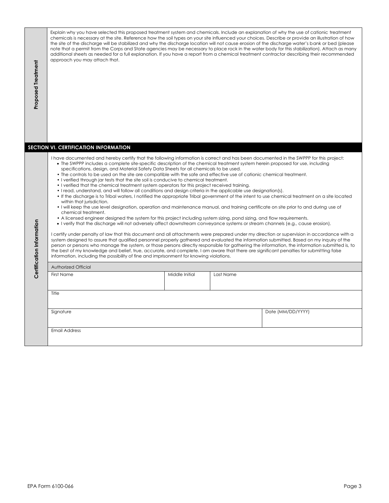| <b>Proposed Treatment</b> | Explain why you have selected this proposed treatment system and chemicals. Include an explanation of why the use of cationic treatment<br>chemicals is necessary at the site. Reference how the soil types on your site influenced your choices. Describe or provide an illustration of how<br>the site of the discharge will be stabilized and why the discharge location will not cause erosion of the discharge water's bank or bed (please<br>note that a permit from the Corps and State agencies may be necessary to place rock in the water body for this stabilization). Attach as many<br>additional sheets as needed for a full explanation. If you have a report from a chemical treatment contractor describing their recommended<br>approach you may attach that.<br>SECTION VI. CERTIFICATION INFORMATION                                                                                                                                                                                                                                                                                                                                                                                                                                                                                                                                                                                                                                                                                                                                                                                                                                                                                                                                                                                                                                                                                                                                                                                                                                                                            |                |           |                   |        |  |
|---------------------------|-----------------------------------------------------------------------------------------------------------------------------------------------------------------------------------------------------------------------------------------------------------------------------------------------------------------------------------------------------------------------------------------------------------------------------------------------------------------------------------------------------------------------------------------------------------------------------------------------------------------------------------------------------------------------------------------------------------------------------------------------------------------------------------------------------------------------------------------------------------------------------------------------------------------------------------------------------------------------------------------------------------------------------------------------------------------------------------------------------------------------------------------------------------------------------------------------------------------------------------------------------------------------------------------------------------------------------------------------------------------------------------------------------------------------------------------------------------------------------------------------------------------------------------------------------------------------------------------------------------------------------------------------------------------------------------------------------------------------------------------------------------------------------------------------------------------------------------------------------------------------------------------------------------------------------------------------------------------------------------------------------------------------------------------------------------------------------------------------------|----------------|-----------|-------------------|--------|--|
| Certification Information | I have documented and hereby certify that the following information is correct and has been documented in the SWPPP for this project:<br>• The SWPPP includes a complete site-specific description of the chemical treatment system herein proposed for use, including<br>specifications, design, and Material Safety Data Sheets for all chemicals to be used.<br>• The controls to be used on the site are compatible with the safe and effective use of cationic chemical treatment.<br>• I verified through jar tests that the site soil is conducive to chemical treatment.<br>• I verified that the chemical treatment system operators for this project received training.<br>• I read, understand, and will follow all conditions and design criteria in the applicable use designation(s).<br>• If the discharge is to Tribal waters, I notified the appropriate Tribal government of the intent to use chemical treatment on a site located<br>within that jurisdiction.<br>. I will keep the use level designation, operation and maintenance manual, and training certificate on site prior to and during use of<br>chemical treatment.<br>• A licensed engineer designed the system for this project including system sizing, pond sizing, and flow requirements.<br>. I verify that the discharge will not adversely affect downstream conveyance systems or stream channels (e.g., cause erosion).<br>I certify under penalty of law that this document and all attachments were prepared under my direction or supervision in accordance with a<br>system designed to assure that qualified personnel properly gathered and evaluated the information submitted. Based on my inquiry of the<br>person or persons who manage the system, or those persons directly responsible for gathering the information, the information submitted is, to<br>the best of my knowledge and belief, true, accurate, and complete. I am aware that there are significant penalties for submitting false<br>information, including the possibility of fine and imprisonment for knowing violations. |                |           |                   |        |  |
|                           | Authorized Official<br><b>First Name</b>                                                                                                                                                                                                                                                                                                                                                                                                                                                                                                                                                                                                                                                                                                                                                                                                                                                                                                                                                                                                                                                                                                                                                                                                                                                                                                                                                                                                                                                                                                                                                                                                                                                                                                                                                                                                                                                                                                                                                                                                                                                            | Middle Initial | Last Name |                   |        |  |
|                           |                                                                                                                                                                                                                                                                                                                                                                                                                                                                                                                                                                                                                                                                                                                                                                                                                                                                                                                                                                                                                                                                                                                                                                                                                                                                                                                                                                                                                                                                                                                                                                                                                                                                                                                                                                                                                                                                                                                                                                                                                                                                                                     |                |           |                   |        |  |
|                           | Title                                                                                                                                                                                                                                                                                                                                                                                                                                                                                                                                                                                                                                                                                                                                                                                                                                                                                                                                                                                                                                                                                                                                                                                                                                                                                                                                                                                                                                                                                                                                                                                                                                                                                                                                                                                                                                                                                                                                                                                                                                                                                               |                |           |                   |        |  |
|                           | Signature                                                                                                                                                                                                                                                                                                                                                                                                                                                                                                                                                                                                                                                                                                                                                                                                                                                                                                                                                                                                                                                                                                                                                                                                                                                                                                                                                                                                                                                                                                                                                                                                                                                                                                                                                                                                                                                                                                                                                                                                                                                                                           |                |           | Date (MM/DD/YYYY) |        |  |
|                           | <b>Email Address</b>                                                                                                                                                                                                                                                                                                                                                                                                                                                                                                                                                                                                                                                                                                                                                                                                                                                                                                                                                                                                                                                                                                                                                                                                                                                                                                                                                                                                                                                                                                                                                                                                                                                                                                                                                                                                                                                                                                                                                                                                                                                                                |                |           |                   |        |  |
|                           |                                                                                                                                                                                                                                                                                                                                                                                                                                                                                                                                                                                                                                                                                                                                                                                                                                                                                                                                                                                                                                                                                                                                                                                                                                                                                                                                                                                                                                                                                                                                                                                                                                                                                                                                                                                                                                                                                                                                                                                                                                                                                                     |                |           |                   |        |  |
|                           |                                                                                                                                                                                                                                                                                                                                                                                                                                                                                                                                                                                                                                                                                                                                                                                                                                                                                                                                                                                                                                                                                                                                                                                                                                                                                                                                                                                                                                                                                                                                                                                                                                                                                                                                                                                                                                                                                                                                                                                                                                                                                                     |                |           |                   |        |  |
|                           | EPA Form 6100-066                                                                                                                                                                                                                                                                                                                                                                                                                                                                                                                                                                                                                                                                                                                                                                                                                                                                                                                                                                                                                                                                                                                                                                                                                                                                                                                                                                                                                                                                                                                                                                                                                                                                                                                                                                                                                                                                                                                                                                                                                                                                                   |                |           |                   | Page 3 |  |